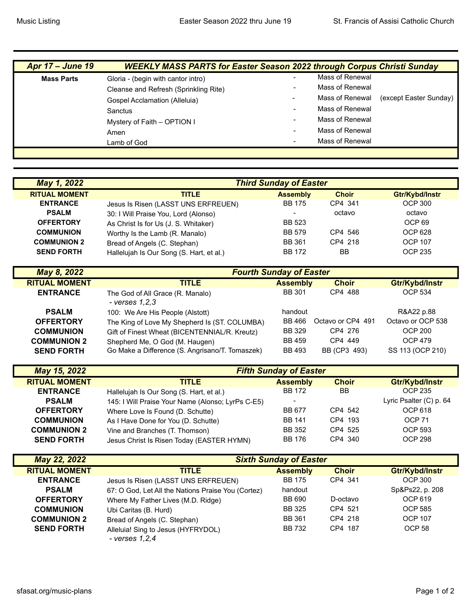| <b>Apr 17 – June 19</b> | <b>WEEKLY MASS PARTS for Easter Season 2022 through Corpus Christi Sunday</b> |                          |                 |                        |
|-------------------------|-------------------------------------------------------------------------------|--------------------------|-----------------|------------------------|
| <b>Mass Parts</b>       | Gloria - (begin with cantor intro)                                            | $\overline{\phantom{a}}$ | Mass of Renewal |                        |
|                         | Cleanse and Refresh (Sprinkling Rite)                                         |                          | Mass of Renewal |                        |
|                         | <b>Gospel Acclamation (Alleluia)</b>                                          | -                        | Mass of Renewal | (except Easter Sunday) |
|                         | Sanctus                                                                       | $\overline{\phantom{a}}$ | Mass of Renewal |                        |
|                         | Mystery of Faith – OPTION I                                                   |                          | Mass of Renewal |                        |
|                         | Amen                                                                          | $\overline{\phantom{0}}$ | Mass of Renewal |                        |
|                         | Lamb of God                                                                   |                          | Mass of Renewal |                        |
|                         |                                                                               |                          |                 |                        |

| May 1, 2022          | <b>Third Sunday of Easter</b>            |                          |              |                   |
|----------------------|------------------------------------------|--------------------------|--------------|-------------------|
| <b>RITUAL MOMENT</b> | <b>TITLE</b>                             | <b>Assembly</b>          | <b>Choir</b> | Gtr/Kybd/Instr    |
| <b>ENTRANCE</b>      | Jesus Is Risen (LASST UNS ERFREUEN)      | <b>BB 175</b>            | CP4 341      | <b>OCP 300</b>    |
| <b>PSALM</b>         | 30: I Will Praise You, Lord (Alonso)     | $\overline{\phantom{0}}$ | octavo       | octavo            |
| <b>OFFERTORY</b>     | As Christ Is for Us (J. S. Whitaker)     | BB 523                   |              | OCP <sub>69</sub> |
| <b>COMMUNION</b>     | Worthy Is the Lamb (R. Manalo)           | <b>BB 579</b>            | CP4 546      | OCP 628           |
| <b>COMMUNION 2</b>   | Bread of Angels (C. Stephan)             | <b>BB 361</b>            | CP4 218      | <b>OCP 107</b>    |
| <b>SEND FORTH</b>    | Hallelujah Is Our Song (S. Hart, et al.) | <b>BB 172</b>            | BB           | OCP 235           |

| May 8, 2022          | <b>Fourth Sunday of Easter</b>                       |                 |                   |                   |
|----------------------|------------------------------------------------------|-----------------|-------------------|-------------------|
| <b>RITUAL MOMENT</b> | <b>TITLE</b>                                         | <b>Assembly</b> | <b>Choir</b>      | Gtr/Kybd/Instr    |
| <b>ENTRANCE</b>      | The God of All Grace (R. Manalo)<br>- $verses$ 1,2,3 | <b>BB 301</b>   | CP4 488           | <b>OCP 534</b>    |
| <b>PSALM</b>         | 100: We Are His People (Alstott)                     | handout         |                   | R&A22 p.88        |
| <b>OFFERTORY</b>     | The King of Love My Shepherd Is (ST. COLUMBA)        | BB 466          | Octavo or CP4 491 | Octavo or OCP 538 |
| <b>COMMUNION</b>     | Gift of Finest Wheat (BICENTENNIAL/R. Kreutz)        | <b>BB 329</b>   | CP4 276           | <b>OCP 200</b>    |
| <b>COMMUNION 2</b>   | Shepherd Me, O God (M. Haugen)                       | <b>BB 459</b>   | CP4 449           | <b>OCP 479</b>    |
| <b>SEND FORTH</b>    | Go Make a Difference (S. Angrisano/T. Tomaszek)      | <b>BB 493</b>   | BB (CP3 493)      | SS 113 (OCP 210)  |

| May 15, 2022         | <b>Fifth Sunday of Easter</b>                     |                 |              |                         |
|----------------------|---------------------------------------------------|-----------------|--------------|-------------------------|
| <b>RITUAL MOMENT</b> | <b>TITLE</b>                                      | <b>Assembly</b> | <b>Choir</b> | Gtr/Kybd/Instr          |
| <b>ENTRANCE</b>      | Hallelujah Is Our Song (S. Hart, et al.)          | BB 172          | <b>BB</b>    | <b>OCP 235</b>          |
| <b>PSALM</b>         | 145: I Will Praise Your Name (Alonso; LyrPs C-E5) |                 |              | Lyric Psalter (C) p. 64 |
| <b>OFFERTORY</b>     | Where Love Is Found (D. Schutte)                  | BB 677          | CP4 542      | OCP 618                 |
| <b>COMMUNION</b>     | As I Have Done for You (D. Schutte)               | <b>BB 141</b>   | CP4 193      | OCP <sub>71</sub>       |
| <b>COMMUNION 2</b>   | Vine and Branches (T. Thomson)                    | BB 352          | CP4 525      | OCP 593                 |
| <b>SEND FORTH</b>    | Jesus Christ Is Risen Today (EASTER HYMN)         | <b>BB 176</b>   | CP4 340      | <b>OCP 298</b>          |

| <b>May 22, 2022</b>  | <b>Sixth Sunday of Easter</b>                        |                 |              |                   |
|----------------------|------------------------------------------------------|-----------------|--------------|-------------------|
| <b>RITUAL MOMENT</b> | <b>TITLE</b>                                         | <b>Assembly</b> | <b>Choir</b> | Gtr/Kybd/Instr    |
| <b>ENTRANCE</b>      | Jesus Is Risen (LASST UNS ERFREUEN)                  | <b>BB 175</b>   | CP4 341      | OCP 300           |
| <b>PSALM</b>         | 67: O God, Let All the Nations Praise You (Cortez)   | handout         |              | Sp&Ps22, p. 208   |
| <b>OFFERTORY</b>     | Where My Father Lives (M.D. Ridge)                   | <b>BB 690</b>   | D-octavo     | OCP 619           |
| <b>COMMUNION</b>     | Ubi Caritas (B. Hurd)                                | BB 325          | CP4 521      | OCP 585           |
| <b>COMMUNION 2</b>   | Bread of Angels (C. Stephan)                         | <b>BB 361</b>   | CP4 218      | <b>OCP 107</b>    |
| <b>SEND FORTH</b>    | Alleluia! Sing to Jesus (HYFRYDOL)<br>- verses 1,2,4 | <b>BB 732</b>   | CP4 187      | OCP <sub>58</sub> |